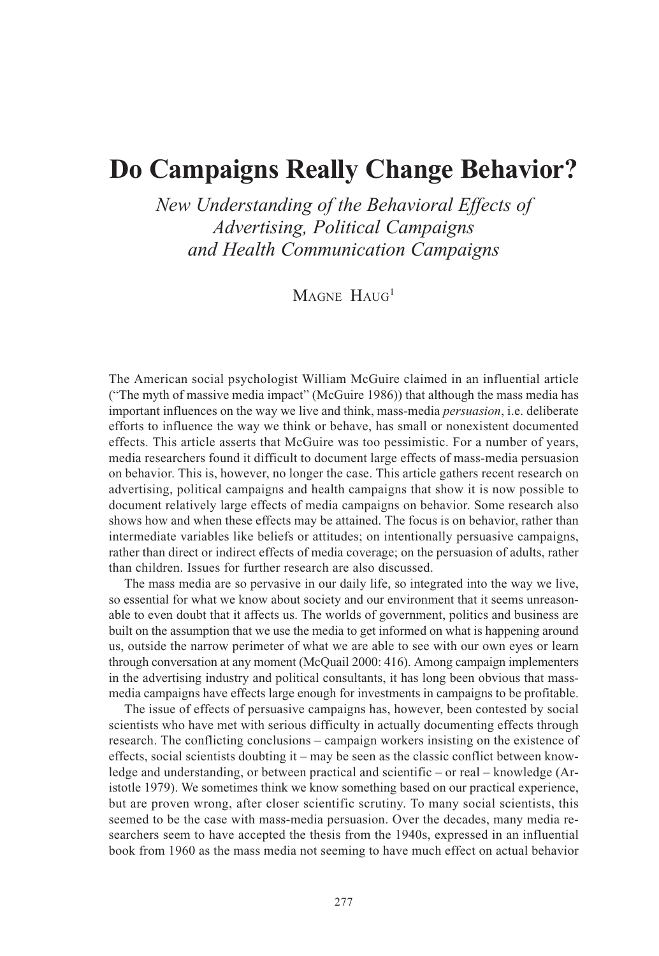# **Do Campaigns Really Change Behavior?**

*New Understanding of the Behavioral Effects of Advertising, Political Campaigns and Health Communication Campaigns*

MAGNE HAUG<sup>1</sup>

The American social psychologist William McGuire claimed in an influential article ("The myth of massive media impact" (McGuire 1986)) that although the mass media has important influences on the way we live and think, mass-media *persuasion*, i.e. deliberate efforts to influence the way we think or behave, has small or nonexistent documented effects. This article asserts that McGuire was too pessimistic. For a number of years, media researchers found it difficult to document large effects of mass-media persuasion on behavior. This is, however, no longer the case. This article gathers recent research on advertising, political campaigns and health campaigns that show it is now possible to document relatively large effects of media campaigns on behavior. Some research also shows how and when these effects may be attained. The focus is on behavior, rather than intermediate variables like beliefs or attitudes; on intentionally persuasive campaigns, rather than direct or indirect effects of media coverage; on the persuasion of adults, rather than children. Issues for further research are also discussed.

The mass media are so pervasive in our daily life, so integrated into the way we live, so essential for what we know about society and our environment that it seems unreasonable to even doubt that it affects us. The worlds of government, politics and business are built on the assumption that we use the media to get informed on what is happening around us, outside the narrow perimeter of what we are able to see with our own eyes or learn through conversation at any moment (McQuail 2000: 416). Among campaign implementers in the advertising industry and political consultants, it has long been obvious that massmedia campaigns have effects large enough for investments in campaigns to be profitable.

The issue of effects of persuasive campaigns has, however, been contested by social scientists who have met with serious difficulty in actually documenting effects through research. The conflicting conclusions – campaign workers insisting on the existence of effects, social scientists doubting it – may be seen as the classic conflict between knowledge and understanding, or between practical and scientific – or real – knowledge (Aristotle 1979). We sometimes think we know something based on our practical experience, but are proven wrong, after closer scientific scrutiny. To many social scientists, this seemed to be the case with mass-media persuasion. Over the decades, many media researchers seem to have accepted the thesis from the 1940s, expressed in an influential book from 1960 as the mass media not seeming to have much effect on actual behavior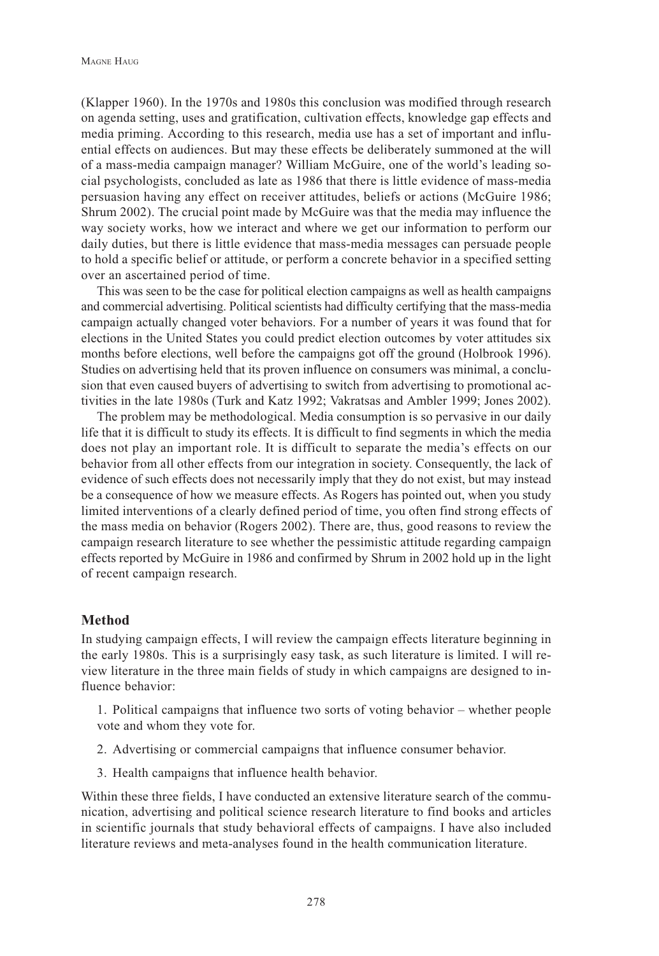(Klapper 1960). In the 1970s and 1980s this conclusion was modified through research on agenda setting, uses and gratification, cultivation effects, knowledge gap effects and media priming. According to this research, media use has a set of important and influential effects on audiences. But may these effects be deliberately summoned at the will of a mass-media campaign manager? William McGuire, one of the world's leading social psychologists, concluded as late as 1986 that there is little evidence of mass-media persuasion having any effect on receiver attitudes, beliefs or actions (McGuire 1986; Shrum 2002). The crucial point made by McGuire was that the media may influence the way society works, how we interact and where we get our information to perform our daily duties, but there is little evidence that mass-media messages can persuade people to hold a specific belief or attitude, or perform a concrete behavior in a specified setting over an ascertained period of time.

This was seen to be the case for political election campaigns as well as health campaigns and commercial advertising. Political scientists had difficulty certifying that the mass-media campaign actually changed voter behaviors. For a number of years it was found that for elections in the United States you could predict election outcomes by voter attitudes six months before elections, well before the campaigns got off the ground (Holbrook 1996). Studies on advertising held that its proven influence on consumers was minimal, a conclusion that even caused buyers of advertising to switch from advertising to promotional activities in the late 1980s (Turk and Katz 1992; Vakratsas and Ambler 1999; Jones 2002).

The problem may be methodological. Media consumption is so pervasive in our daily life that it is difficult to study its effects. It is difficult to find segments in which the media does not play an important role. It is difficult to separate the media's effects on our behavior from all other effects from our integration in society. Consequently, the lack of evidence of such effects does not necessarily imply that they do not exist, but may instead be a consequence of how we measure effects. As Rogers has pointed out, when you study limited interventions of a clearly defined period of time, you often find strong effects of the mass media on behavior (Rogers 2002). There are, thus, good reasons to review the campaign research literature to see whether the pessimistic attitude regarding campaign effects reported by McGuire in 1986 and confirmed by Shrum in 2002 hold up in the light of recent campaign research.

## **Method**

In studying campaign effects, I will review the campaign effects literature beginning in the early 1980s. This is a surprisingly easy task, as such literature is limited. I will review literature in the three main fields of study in which campaigns are designed to influence behavior:

1. Political campaigns that influence two sorts of voting behavior – whether people vote and whom they vote for.

- 2. Advertising or commercial campaigns that influence consumer behavior.
- 3. Health campaigns that influence health behavior.

Within these three fields, I have conducted an extensive literature search of the communication, advertising and political science research literature to find books and articles in scientific journals that study behavioral effects of campaigns. I have also included literature reviews and meta-analyses found in the health communication literature.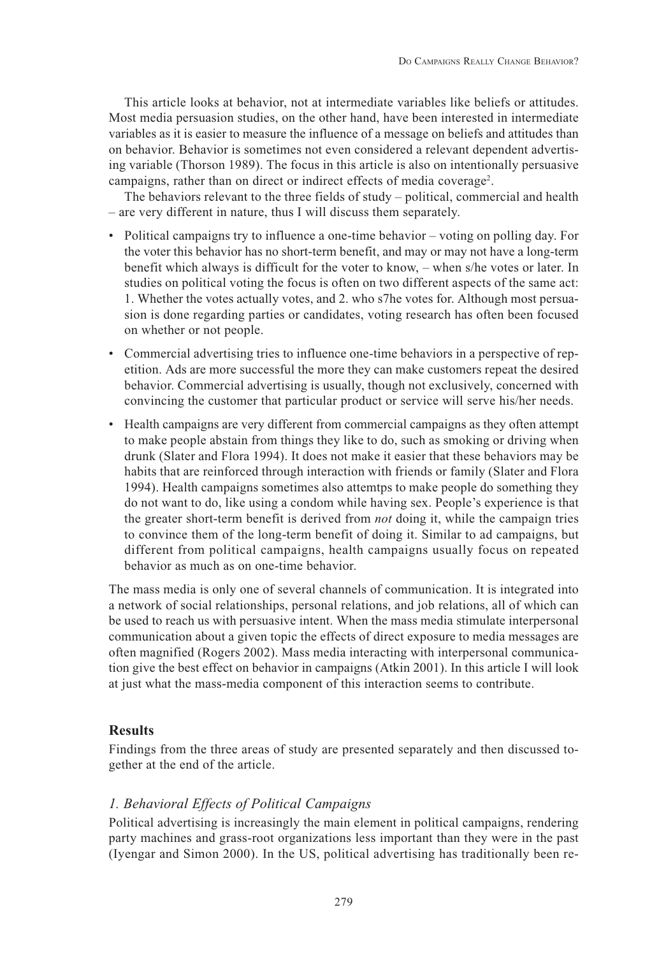This article looks at behavior, not at intermediate variables like beliefs or attitudes. Most media persuasion studies, on the other hand, have been interested in intermediate variables as it is easier to measure the influence of a message on beliefs and attitudes than on behavior. Behavior is sometimes not even considered a relevant dependent advertising variable (Thorson 1989). The focus in this article is also on intentionally persuasive campaigns, rather than on direct or indirect effects of media coverage<sup>2</sup>.

The behaviors relevant to the three fields of study – political, commercial and health – are very different in nature, thus I will discuss them separately.

- Political campaigns try to influence a one-time behavior voting on polling day. For the voter this behavior has no short-term benefit, and may or may not have a long-term benefit which always is difficult for the voter to know, – when s/he votes or later. In studies on political voting the focus is often on two different aspects of the same act: 1. Whether the votes actually votes, and 2. who s7he votes for. Although most persuasion is done regarding parties or candidates, voting research has often been focused on whether or not people.
- Commercial advertising tries to influence one-time behaviors in a perspective of repetition. Ads are more successful the more they can make customers repeat the desired behavior. Commercial advertising is usually, though not exclusively, concerned with convincing the customer that particular product or service will serve his/her needs.
- Health campaigns are very different from commercial campaigns as they often attempt to make people abstain from things they like to do, such as smoking or driving when drunk (Slater and Flora 1994). It does not make it easier that these behaviors may be habits that are reinforced through interaction with friends or family (Slater and Flora 1994). Health campaigns sometimes also attemtps to make people do something they do not want to do, like using a condom while having sex. People's experience is that the greater short-term benefit is derived from *not* doing it, while the campaign tries to convince them of the long-term benefit of doing it. Similar to ad campaigns, but different from political campaigns, health campaigns usually focus on repeated behavior as much as on one-time behavior.

The mass media is only one of several channels of communication. It is integrated into a network of social relationships, personal relations, and job relations, all of which can be used to reach us with persuasive intent. When the mass media stimulate interpersonal communication about a given topic the effects of direct exposure to media messages are often magnified (Rogers 2002). Mass media interacting with interpersonal communication give the best effect on behavior in campaigns (Atkin 2001). In this article I will look at just what the mass-media component of this interaction seems to contribute.

# **Results**

Findings from the three areas of study are presented separately and then discussed together at the end of the article.

# *1. Behavioral Effects of Political Campaigns*

Political advertising is increasingly the main element in political campaigns, rendering party machines and grass-root organizations less important than they were in the past (Iyengar and Simon 2000). In the US, political advertising has traditionally been re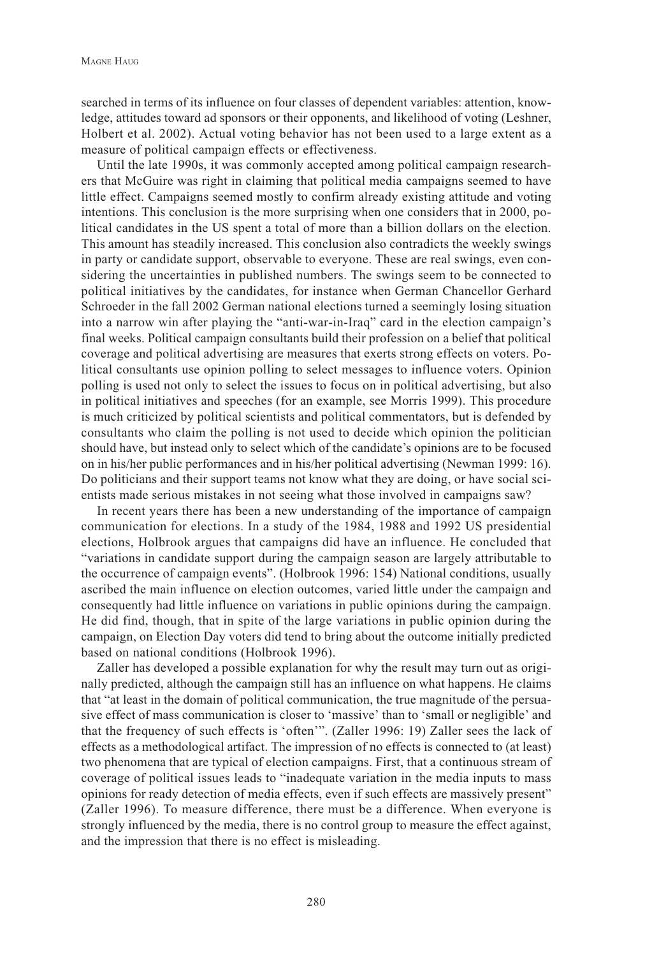searched in terms of its influence on four classes of dependent variables: attention, knowledge, attitudes toward ad sponsors or their opponents, and likelihood of voting (Leshner, Holbert et al. 2002). Actual voting behavior has not been used to a large extent as a measure of political campaign effects or effectiveness.

Until the late 1990s, it was commonly accepted among political campaign researchers that McGuire was right in claiming that political media campaigns seemed to have little effect. Campaigns seemed mostly to confirm already existing attitude and voting intentions. This conclusion is the more surprising when one considers that in 2000, political candidates in the US spent a total of more than a billion dollars on the election. This amount has steadily increased. This conclusion also contradicts the weekly swings in party or candidate support, observable to everyone. These are real swings, even considering the uncertainties in published numbers. The swings seem to be connected to political initiatives by the candidates, for instance when German Chancellor Gerhard Schroeder in the fall 2002 German national elections turned a seemingly losing situation into a narrow win after playing the "anti-war-in-Iraq" card in the election campaign's final weeks. Political campaign consultants build their profession on a belief that political coverage and political advertising are measures that exerts strong effects on voters. Political consultants use opinion polling to select messages to influence voters. Opinion polling is used not only to select the issues to focus on in political advertising, but also in political initiatives and speeches (for an example, see Morris 1999). This procedure is much criticized by political scientists and political commentators, but is defended by consultants who claim the polling is not used to decide which opinion the politician should have, but instead only to select which of the candidate's opinions are to be focused on in his/her public performances and in his/her political advertising (Newman 1999: 16). Do politicians and their support teams not know what they are doing, or have social scientists made serious mistakes in not seeing what those involved in campaigns saw?

In recent years there has been a new understanding of the importance of campaign communication for elections. In a study of the 1984, 1988 and 1992 US presidential elections, Holbrook argues that campaigns did have an influence. He concluded that "variations in candidate support during the campaign season are largely attributable to the occurrence of campaign events". (Holbrook 1996: 154) National conditions, usually ascribed the main influence on election outcomes, varied little under the campaign and consequently had little influence on variations in public opinions during the campaign. He did find, though, that in spite of the large variations in public opinion during the campaign, on Election Day voters did tend to bring about the outcome initially predicted based on national conditions (Holbrook 1996).

Zaller has developed a possible explanation for why the result may turn out as originally predicted, although the campaign still has an influence on what happens. He claims that "at least in the domain of political communication, the true magnitude of the persuasive effect of mass communication is closer to 'massive' than to 'small or negligible' and that the frequency of such effects is 'often'". (Zaller 1996: 19) Zaller sees the lack of effects as a methodological artifact. The impression of no effects is connected to (at least) two phenomena that are typical of election campaigns. First, that a continuous stream of coverage of political issues leads to "inadequate variation in the media inputs to mass opinions for ready detection of media effects, even if such effects are massively present" (Zaller 1996). To measure difference, there must be a difference. When everyone is strongly influenced by the media, there is no control group to measure the effect against, and the impression that there is no effect is misleading.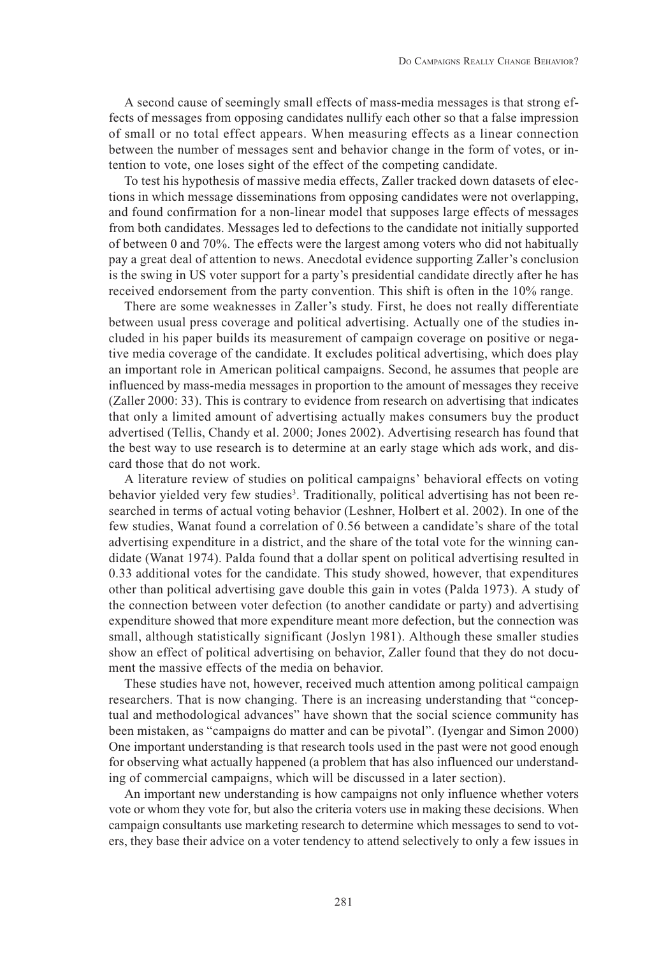A second cause of seemingly small effects of mass-media messages is that strong effects of messages from opposing candidates nullify each other so that a false impression of small or no total effect appears. When measuring effects as a linear connection between the number of messages sent and behavior change in the form of votes, or intention to vote, one loses sight of the effect of the competing candidate.

To test his hypothesis of massive media effects, Zaller tracked down datasets of elections in which message disseminations from opposing candidates were not overlapping, and found confirmation for a non-linear model that supposes large effects of messages from both candidates. Messages led to defections to the candidate not initially supported of between 0 and 70%. The effects were the largest among voters who did not habitually pay a great deal of attention to news. Anecdotal evidence supporting Zaller's conclusion is the swing in US voter support for a party's presidential candidate directly after he has received endorsement from the party convention. This shift is often in the 10% range.

There are some weaknesses in Zaller's study. First, he does not really differentiate between usual press coverage and political advertising. Actually one of the studies included in his paper builds its measurement of campaign coverage on positive or negative media coverage of the candidate. It excludes political advertising, which does play an important role in American political campaigns. Second, he assumes that people are influenced by mass-media messages in proportion to the amount of messages they receive (Zaller 2000: 33). This is contrary to evidence from research on advertising that indicates that only a limited amount of advertising actually makes consumers buy the product advertised (Tellis, Chandy et al. 2000; Jones 2002). Advertising research has found that the best way to use research is to determine at an early stage which ads work, and discard those that do not work.

A literature review of studies on political campaigns' behavioral effects on voting behavior yielded very few studies<sup>3</sup>. Traditionally, political advertising has not been researched in terms of actual voting behavior (Leshner, Holbert et al. 2002). In one of the few studies, Wanat found a correlation of 0.56 between a candidate's share of the total advertising expenditure in a district, and the share of the total vote for the winning candidate (Wanat 1974). Palda found that a dollar spent on political advertising resulted in 0.33 additional votes for the candidate. This study showed, however, that expenditures other than political advertising gave double this gain in votes (Palda 1973). A study of the connection between voter defection (to another candidate or party) and advertising expenditure showed that more expenditure meant more defection, but the connection was small, although statistically significant (Joslyn 1981). Although these smaller studies show an effect of political advertising on behavior, Zaller found that they do not document the massive effects of the media on behavior.

These studies have not, however, received much attention among political campaign researchers. That is now changing. There is an increasing understanding that "conceptual and methodological advances" have shown that the social science community has been mistaken, as "campaigns do matter and can be pivotal". (Iyengar and Simon 2000) One important understanding is that research tools used in the past were not good enough for observing what actually happened (a problem that has also influenced our understanding of commercial campaigns, which will be discussed in a later section).

An important new understanding is how campaigns not only influence whether voters vote or whom they vote for, but also the criteria voters use in making these decisions. When campaign consultants use marketing research to determine which messages to send to voters, they base their advice on a voter tendency to attend selectively to only a few issues in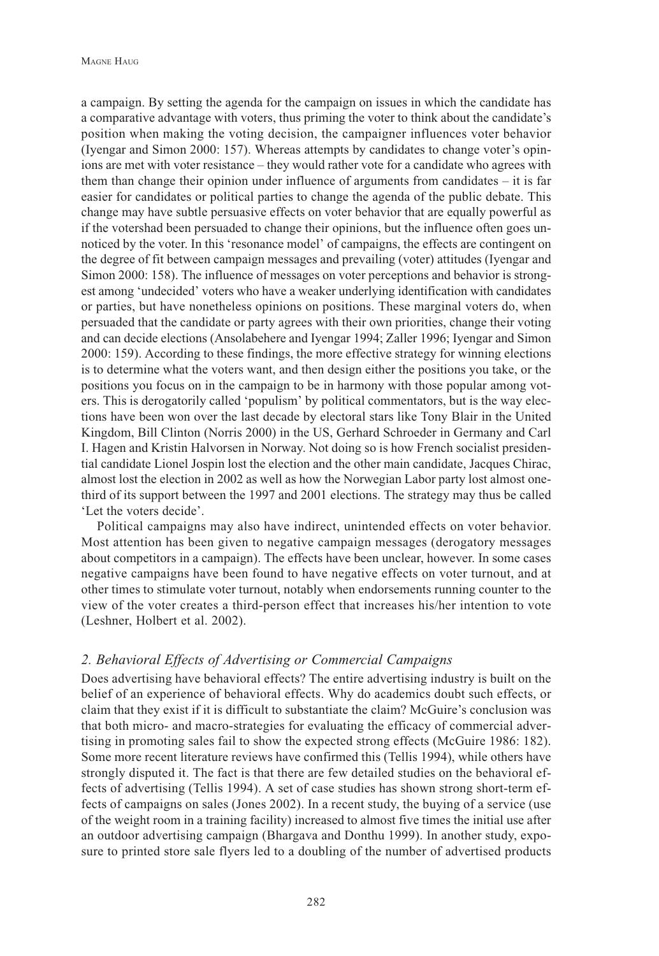a campaign. By setting the agenda for the campaign on issues in which the candidate has a comparative advantage with voters, thus priming the voter to think about the candidate's position when making the voting decision, the campaigner influences voter behavior (Iyengar and Simon 2000: 157). Whereas attempts by candidates to change voter's opinions are met with voter resistance – they would rather vote for a candidate who agrees with them than change their opinion under influence of arguments from candidates – it is far easier for candidates or political parties to change the agenda of the public debate. This change may have subtle persuasive effects on voter behavior that are equally powerful as if the votershad been persuaded to change their opinions, but the influence often goes unnoticed by the voter. In this 'resonance model' of campaigns, the effects are contingent on the degree of fit between campaign messages and prevailing (voter) attitudes (Iyengar and Simon 2000: 158). The influence of messages on voter perceptions and behavior is strongest among 'undecided' voters who have a weaker underlying identification with candidates or parties, but have nonetheless opinions on positions. These marginal voters do, when persuaded that the candidate or party agrees with their own priorities, change their voting and can decide elections (Ansolabehere and Iyengar 1994; Zaller 1996; Iyengar and Simon 2000: 159). According to these findings, the more effective strategy for winning elections is to determine what the voters want, and then design either the positions you take, or the positions you focus on in the campaign to be in harmony with those popular among voters. This is derogatorily called 'populism' by political commentators, but is the way elections have been won over the last decade by electoral stars like Tony Blair in the United Kingdom, Bill Clinton (Norris 2000) in the US, Gerhard Schroeder in Germany and Carl I. Hagen and Kristin Halvorsen in Norway. Not doing so is how French socialist presidential candidate Lionel Jospin lost the election and the other main candidate, Jacques Chirac, almost lost the election in 2002 as well as how the Norwegian Labor party lost almost onethird of its support between the 1997 and 2001 elections. The strategy may thus be called 'Let the voters decide'.

Political campaigns may also have indirect, unintended effects on voter behavior. Most attention has been given to negative campaign messages (derogatory messages about competitors in a campaign). The effects have been unclear, however. In some cases negative campaigns have been found to have negative effects on voter turnout, and at other times to stimulate voter turnout, notably when endorsements running counter to the view of the voter creates a third-person effect that increases his/her intention to vote (Leshner, Holbert et al. 2002).

## *2. Behavioral Effects of Advertising or Commercial Campaigns*

Does advertising have behavioral effects? The entire advertising industry is built on the belief of an experience of behavioral effects. Why do academics doubt such effects, or claim that they exist if it is difficult to substantiate the claim? McGuire's conclusion was that both micro- and macro-strategies for evaluating the efficacy of commercial advertising in promoting sales fail to show the expected strong effects (McGuire 1986: 182). Some more recent literature reviews have confirmed this (Tellis 1994), while others have strongly disputed it. The fact is that there are few detailed studies on the behavioral effects of advertising (Tellis 1994). A set of case studies has shown strong short-term effects of campaigns on sales (Jones 2002). In a recent study, the buying of a service (use of the weight room in a training facility) increased to almost five times the initial use after an outdoor advertising campaign (Bhargava and Donthu 1999). In another study, exposure to printed store sale flyers led to a doubling of the number of advertised products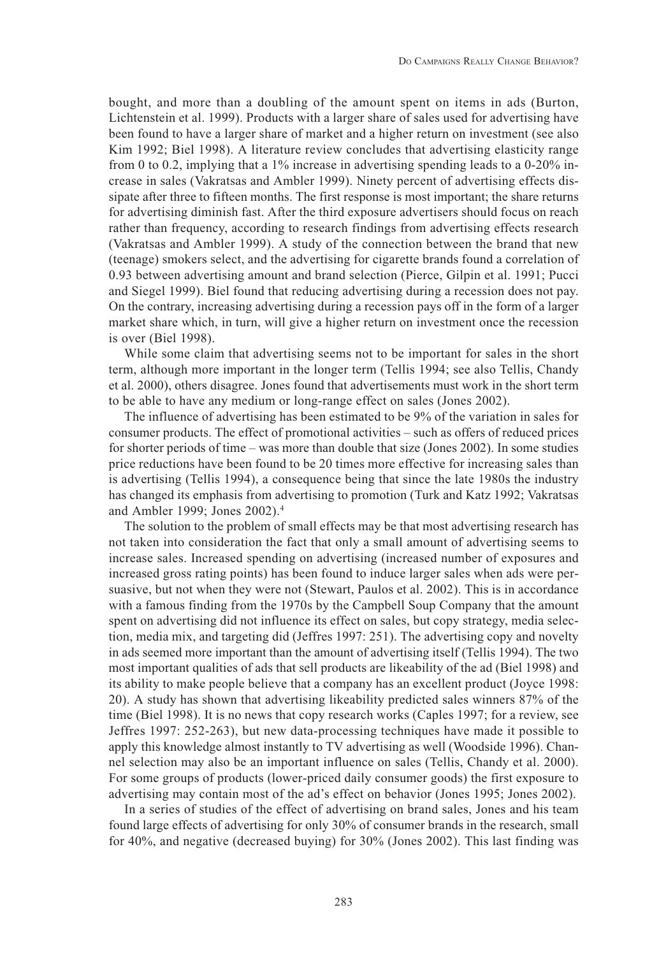bought, and more than a doubling of the amount spent on items in ads (Burton, Lichtenstein et al. 1999). Products with a larger share of sales used for advertising have been found to have a larger share of market and a higher return on investment (see also Kim 1992; Biel 1998). A literature review concludes that advertising elasticity range from 0 to 0.2, implying that a 1% increase in advertising spending leads to a 0-20% increase in sales (Vakratsas and Ambler 1999). Ninety percent of advertising effects dissipate after three to fifteen months. The first response is most important; the share returns for advertising diminish fast. After the third exposure advertisers should focus on reach rather than frequency, according to research findings from advertising effects research (Vakratsas and Ambler 1999). A study of the connection between the brand that new (teenage) smokers select, and the advertising for cigarette brands found a correlation of 0.93 between advertising amount and brand selection (Pierce, Gilpin et al. 1991; Pucci and Siegel 1999). Biel found that reducing advertising during a recession does not pay. On the contrary, increasing advertising during a recession pays off in the form of a larger market share which, in turn, will give a higher return on investment once the recession is over (Biel 1998).

While some claim that advertising seems not to be important for sales in the short term, although more important in the longer term (Tellis 1994; see also Tellis, Chandy et al. 2000), others disagree. Jones found that advertisements must work in the short term to be able to have any medium or long-range effect on sales (Jones 2002).

The influence of advertising has been estimated to be 9% of the variation in sales for consumer products. The effect of promotional activities – such as offers of reduced prices for shorter periods of time – was more than double that size (Jones 2002). In some studies price reductions have been found to be 20 times more effective for increasing sales than is advertising (Tellis 1994), a consequence being that since the late 1980s the industry has changed its emphasis from advertising to promotion (Turk and Katz 1992; Vakratsas and Ambler 1999; Jones 2002).4

The solution to the problem of small effects may be that most advertising research has not taken into consideration the fact that only a small amount of advertising seems to increase sales. Increased spending on advertising (increased number of exposures and increased gross rating points) has been found to induce larger sales when ads were persuasive, but not when they were not (Stewart, Paulos et al. 2002). This is in accordance with a famous finding from the 1970s by the Campbell Soup Company that the amount spent on advertising did not influence its effect on sales, but copy strategy, media selection, media mix, and targeting did (Jeffres 1997: 251). The advertising copy and novelty in ads seemed more important than the amount of advertising itself (Tellis 1994). The two most important qualities of ads that sell products are likeability of the ad (Biel 1998) and its ability to make people believe that a company has an excellent product (Joyce 1998: 20). A study has shown that advertising likeability predicted sales winners 87% of the time (Biel 1998). It is no news that copy research works (Caples 1997; for a review, see Jeffres 1997: 252-263), but new data-processing techniques have made it possible to apply this knowledge almost instantly to TV advertising as well (Woodside 1996). Channel selection may also be an important influence on sales (Tellis, Chandy et al. 2000). For some groups of products (lower-priced daily consumer goods) the first exposure to advertising may contain most of the ad's effect on behavior (Jones 1995; Jones 2002).

In a series of studies of the effect of advertising on brand sales, Jones and his team found large effects of advertising for only 30% of consumer brands in the research, small for 40%, and negative (decreased buying) for 30% (Jones 2002). This last finding was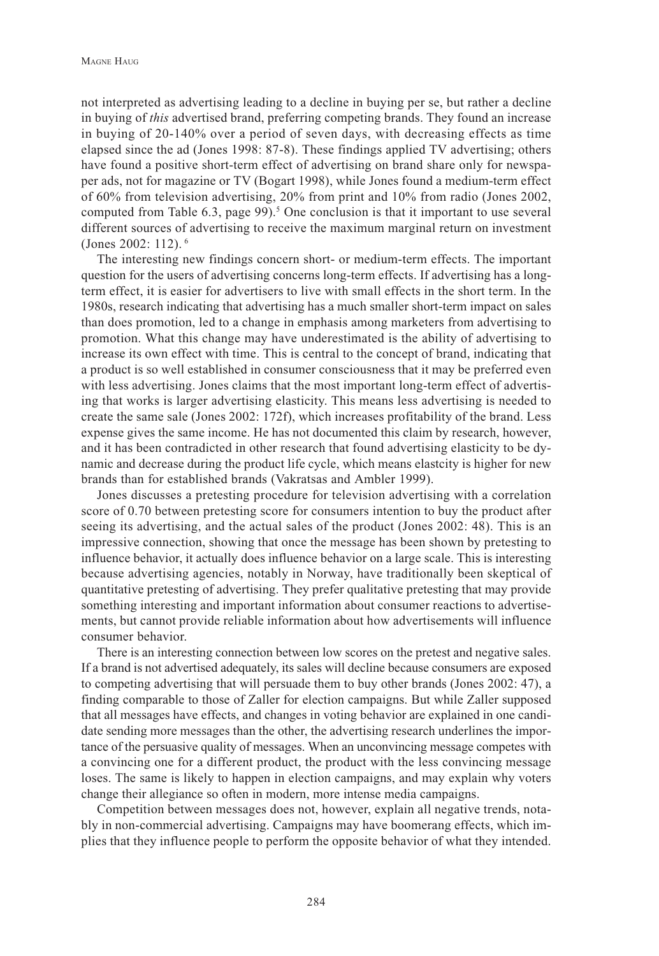not interpreted as advertising leading to a decline in buying per se, but rather a decline in buying of *this* advertised brand, preferring competing brands. They found an increase in buying of 20-140% over a period of seven days, with decreasing effects as time elapsed since the ad (Jones 1998: 87-8). These findings applied TV advertising; others have found a positive short-term effect of advertising on brand share only for newspaper ads, not for magazine or TV (Bogart 1998), while Jones found a medium-term effect of 60% from television advertising, 20% from print and 10% from radio (Jones 2002, computed from Table  $6.3$ , page  $99$ ).<sup>5</sup> One conclusion is that it important to use several different sources of advertising to receive the maximum marginal return on investment (Jones 2002: 112). 6

The interesting new findings concern short- or medium-term effects. The important question for the users of advertising concerns long-term effects. If advertising has a longterm effect, it is easier for advertisers to live with small effects in the short term. In the 1980s, research indicating that advertising has a much smaller short-term impact on sales than does promotion, led to a change in emphasis among marketers from advertising to promotion. What this change may have underestimated is the ability of advertising to increase its own effect with time. This is central to the concept of brand, indicating that a product is so well established in consumer consciousness that it may be preferred even with less advertising. Jones claims that the most important long-term effect of advertising that works is larger advertising elasticity. This means less advertising is needed to create the same sale (Jones 2002: 172f), which increases profitability of the brand. Less expense gives the same income. He has not documented this claim by research, however, and it has been contradicted in other research that found advertising elasticity to be dynamic and decrease during the product life cycle, which means elastcity is higher for new brands than for established brands (Vakratsas and Ambler 1999).

Jones discusses a pretesting procedure for television advertising with a correlation score of 0.70 between pretesting score for consumers intention to buy the product after seeing its advertising, and the actual sales of the product (Jones 2002: 48). This is an impressive connection, showing that once the message has been shown by pretesting to influence behavior, it actually does influence behavior on a large scale. This is interesting because advertising agencies, notably in Norway, have traditionally been skeptical of quantitative pretesting of advertising. They prefer qualitative pretesting that may provide something interesting and important information about consumer reactions to advertisements, but cannot provide reliable information about how advertisements will influence consumer behavior.

There is an interesting connection between low scores on the pretest and negative sales. If a brand is not advertised adequately, its sales will decline because consumers are exposed to competing advertising that will persuade them to buy other brands (Jones 2002: 47), a finding comparable to those of Zaller for election campaigns. But while Zaller supposed that all messages have effects, and changes in voting behavior are explained in one candidate sending more messages than the other, the advertising research underlines the importance of the persuasive quality of messages. When an unconvincing message competes with a convincing one for a different product, the product with the less convincing message loses. The same is likely to happen in election campaigns, and may explain why voters change their allegiance so often in modern, more intense media campaigns.

Competition between messages does not, however, explain all negative trends, notably in non-commercial advertising. Campaigns may have boomerang effects, which implies that they influence people to perform the opposite behavior of what they intended.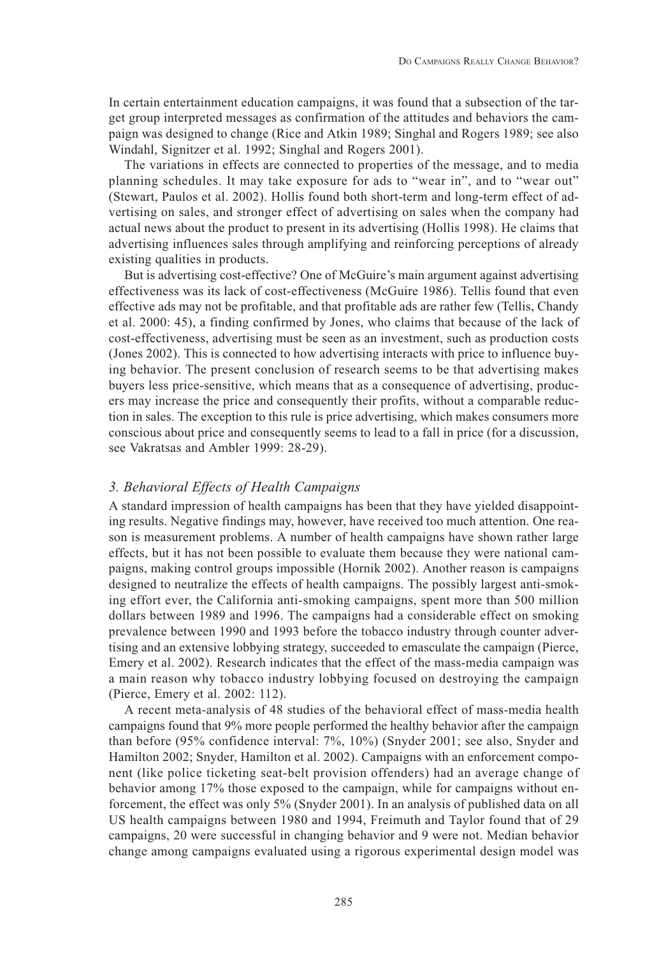In certain entertainment education campaigns, it was found that a subsection of the target group interpreted messages as confirmation of the attitudes and behaviors the campaign was designed to change (Rice and Atkin 1989; Singhal and Rogers 1989; see also Windahl, Signitzer et al. 1992; Singhal and Rogers 2001).

The variations in effects are connected to properties of the message, and to media planning schedules. It may take exposure for ads to "wear in", and to "wear out" (Stewart, Paulos et al. 2002). Hollis found both short-term and long-term effect of advertising on sales, and stronger effect of advertising on sales when the company had actual news about the product to present in its advertising (Hollis 1998). He claims that advertising influences sales through amplifying and reinforcing perceptions of already existing qualities in products.

But is advertising cost-effective? One of McGuire's main argument against advertising effectiveness was its lack of cost-effectiveness (McGuire 1986). Tellis found that even effective ads may not be profitable, and that profitable ads are rather few (Tellis, Chandy et al. 2000: 45), a finding confirmed by Jones, who claims that because of the lack of cost-effectiveness, advertising must be seen as an investment, such as production costs (Jones 2002). This is connected to how advertising interacts with price to influence buying behavior. The present conclusion of research seems to be that advertising makes buyers less price-sensitive, which means that as a consequence of advertising, producers may increase the price and consequently their profits, without a comparable reduction in sales. The exception to this rule is price advertising, which makes consumers more conscious about price and consequently seems to lead to a fall in price (for a discussion, see Vakratsas and Ambler 1999: 28-29).

## *3. Behavioral Effects of Health Campaigns*

A standard impression of health campaigns has been that they have yielded disappointing results. Negative findings may, however, have received too much attention. One reason is measurement problems. A number of health campaigns have shown rather large effects, but it has not been possible to evaluate them because they were national campaigns, making control groups impossible (Hornik 2002). Another reason is campaigns designed to neutralize the effects of health campaigns. The possibly largest anti-smoking effort ever, the California anti-smoking campaigns, spent more than 500 million dollars between 1989 and 1996. The campaigns had a considerable effect on smoking prevalence between 1990 and 1993 before the tobacco industry through counter advertising and an extensive lobbying strategy, succeeded to emasculate the campaign (Pierce, Emery et al. 2002). Research indicates that the effect of the mass-media campaign was a main reason why tobacco industry lobbying focused on destroying the campaign (Pierce, Emery et al. 2002: 112).

A recent meta-analysis of 48 studies of the behavioral effect of mass-media health campaigns found that 9% more people performed the healthy behavior after the campaign than before (95% confidence interval: 7%, 10%) (Snyder 2001; see also, Snyder and Hamilton 2002; Snyder, Hamilton et al. 2002). Campaigns with an enforcement component (like police ticketing seat-belt provision offenders) had an average change of behavior among 17% those exposed to the campaign, while for campaigns without enforcement, the effect was only 5% (Snyder 2001). In an analysis of published data on all US health campaigns between 1980 and 1994, Freimuth and Taylor found that of 29 campaigns, 20 were successful in changing behavior and 9 were not. Median behavior change among campaigns evaluated using a rigorous experimental design model was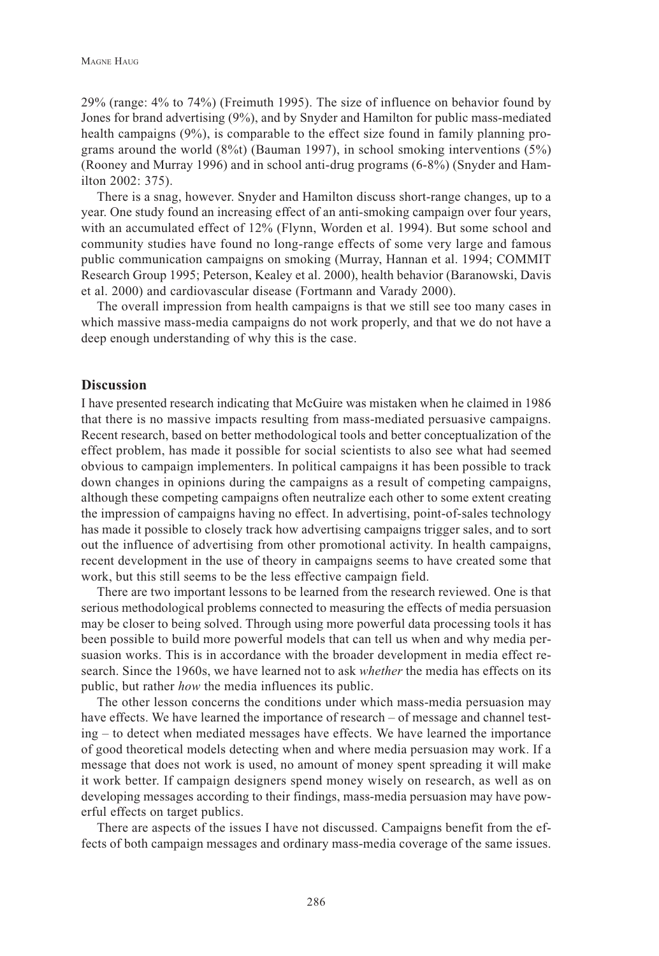29% (range: 4% to 74%) (Freimuth 1995). The size of influence on behavior found by Jones for brand advertising (9%), and by Snyder and Hamilton for public mass-mediated health campaigns (9%), is comparable to the effect size found in family planning programs around the world  $(8\%)$  (Bauman 1997), in school smoking interventions  $(5\%)$ (Rooney and Murray 1996) and in school anti-drug programs (6-8%) (Snyder and Hamilton 2002: 375).

There is a snag, however. Snyder and Hamilton discuss short-range changes, up to a year. One study found an increasing effect of an anti-smoking campaign over four years, with an accumulated effect of 12% (Flynn, Worden et al. 1994). But some school and community studies have found no long-range effects of some very large and famous public communication campaigns on smoking (Murray, Hannan et al. 1994; COMMIT Research Group 1995; Peterson, Kealey et al. 2000), health behavior (Baranowski, Davis et al. 2000) and cardiovascular disease (Fortmann and Varady 2000).

The overall impression from health campaigns is that we still see too many cases in which massive mass-media campaigns do not work properly, and that we do not have a deep enough understanding of why this is the case.

#### **Discussion**

I have presented research indicating that McGuire was mistaken when he claimed in 1986 that there is no massive impacts resulting from mass-mediated persuasive campaigns. Recent research, based on better methodological tools and better conceptualization of the effect problem, has made it possible for social scientists to also see what had seemed obvious to campaign implementers. In political campaigns it has been possible to track down changes in opinions during the campaigns as a result of competing campaigns, although these competing campaigns often neutralize each other to some extent creating the impression of campaigns having no effect. In advertising, point-of-sales technology has made it possible to closely track how advertising campaigns trigger sales, and to sort out the influence of advertising from other promotional activity. In health campaigns, recent development in the use of theory in campaigns seems to have created some that work, but this still seems to be the less effective campaign field.

There are two important lessons to be learned from the research reviewed. One is that serious methodological problems connected to measuring the effects of media persuasion may be closer to being solved. Through using more powerful data processing tools it has been possible to build more powerful models that can tell us when and why media persuasion works. This is in accordance with the broader development in media effect research. Since the 1960s, we have learned not to ask *whether* the media has effects on its public, but rather *how* the media influences its public.

The other lesson concerns the conditions under which mass-media persuasion may have effects. We have learned the importance of research – of message and channel testing – to detect when mediated messages have effects. We have learned the importance of good theoretical models detecting when and where media persuasion may work. If a message that does not work is used, no amount of money spent spreading it will make it work better. If campaign designers spend money wisely on research, as well as on developing messages according to their findings, mass-media persuasion may have powerful effects on target publics.

There are aspects of the issues I have not discussed. Campaigns benefit from the effects of both campaign messages and ordinary mass-media coverage of the same issues.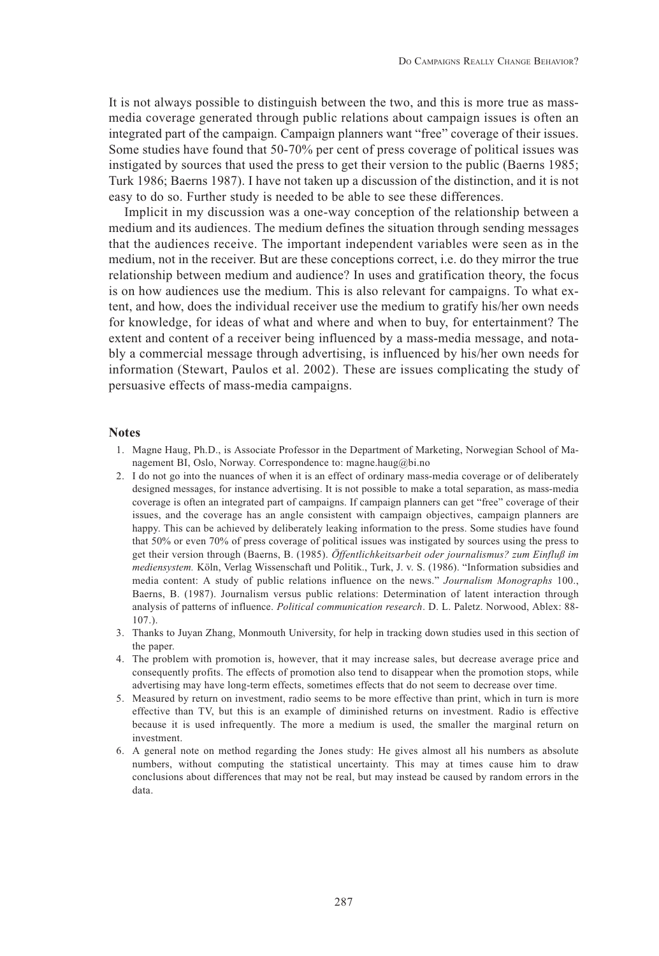It is not always possible to distinguish between the two, and this is more true as massmedia coverage generated through public relations about campaign issues is often an integrated part of the campaign. Campaign planners want "free" coverage of their issues. Some studies have found that 50-70% per cent of press coverage of political issues was instigated by sources that used the press to get their version to the public (Baerns 1985; Turk 1986; Baerns 1987). I have not taken up a discussion of the distinction, and it is not easy to do so. Further study is needed to be able to see these differences.

Implicit in my discussion was a one-way conception of the relationship between a medium and its audiences. The medium defines the situation through sending messages that the audiences receive. The important independent variables were seen as in the medium, not in the receiver. But are these conceptions correct, i.e. do they mirror the true relationship between medium and audience? In uses and gratification theory, the focus is on how audiences use the medium. This is also relevant for campaigns. To what extent, and how, does the individual receiver use the medium to gratify his/her own needs for knowledge, for ideas of what and where and when to buy, for entertainment? The extent and content of a receiver being influenced by a mass-media message, and notably a commercial message through advertising, is influenced by his/her own needs for information (Stewart, Paulos et al. 2002). These are issues complicating the study of persuasive effects of mass-media campaigns.

#### **Notes**

- 1. Magne Haug, Ph.D., is Associate Professor in the Department of Marketing, Norwegian School of Management BI, Oslo, Norway. Correspondence to: magne.haug@bi.no
- 2. I do not go into the nuances of when it is an effect of ordinary mass-media coverage or of deliberately designed messages, for instance advertising. It is not possible to make a total separation, as mass-media coverage is often an integrated part of campaigns. If campaign planners can get "free" coverage of their issues, and the coverage has an angle consistent with campaign objectives, campaign planners are happy. This can be achieved by deliberately leaking information to the press. Some studies have found that 50% or even 70% of press coverage of political issues was instigated by sources using the press to get their version through (Baerns, B. (1985). *Öffentlichkeitsarbeit oder journalismus? zum Einfluß im mediensystem.* Köln, Verlag Wissenschaft und Politik., Turk, J. v. S. (1986). "Information subsidies and media content: A study of public relations influence on the news." *Journalism Monographs* 100., Baerns, B. (1987). Journalism versus public relations: Determination of latent interaction through analysis of patterns of influence. *Political communication research*. D. L. Paletz. Norwood, Ablex: 88- 107.).
- 3. Thanks to Juyan Zhang, Monmouth University, for help in tracking down studies used in this section of the paper.
- 4. The problem with promotion is, however, that it may increase sales, but decrease average price and consequently profits. The effects of promotion also tend to disappear when the promotion stops, while advertising may have long-term effects, sometimes effects that do not seem to decrease over time.
- 5. Measured by return on investment, radio seems to be more effective than print, which in turn is more effective than TV, but this is an example of diminished returns on investment. Radio is effective because it is used infrequently. The more a medium is used, the smaller the marginal return on investment.
- 6. A general note on method regarding the Jones study: He gives almost all his numbers as absolute numbers, without computing the statistical uncertainty. This may at times cause him to draw conclusions about differences that may not be real, but may instead be caused by random errors in the data.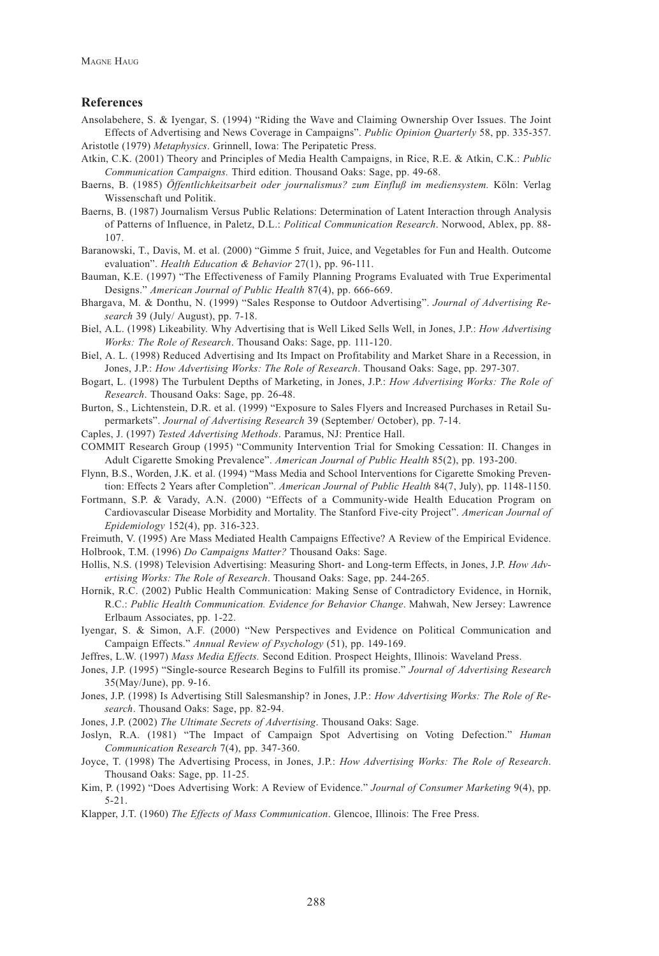#### **References**

- Ansolabehere, S. & Iyengar, S. (1994) "Riding the Wave and Claiming Ownership Over Issues. The Joint Effects of Advertising and News Coverage in Campaigns". *Public Opinion Quarterly* 58, pp. 335-357. Aristotle (1979) *Metaphysics*. Grinnell, Iowa: The Peripatetic Press.
- Atkin, C.K. (2001) Theory and Principles of Media Health Campaigns, in Rice, R.E. & Atkin, C.K.: *Public Communication Campaigns.* Third edition. Thousand Oaks: Sage, pp. 49-68.
- Baerns, B. (1985) *Öffentlichkeitsarbeit oder journalismus? zum Einfluß im mediensystem.* Köln: Verlag Wissenschaft und Politik.
- Baerns, B. (1987) Journalism Versus Public Relations: Determination of Latent Interaction through Analysis of Patterns of Influence, in Paletz, D.L.: *Political Communication Research*. Norwood, Ablex, pp. 88- 107.
- Baranowski, T., Davis, M. et al. (2000) "Gimme 5 fruit, Juice, and Vegetables for Fun and Health. Outcome evaluation". *Health Education & Behavior* 27(1), pp. 96-111.
- Bauman, K.E. (1997) "The Effectiveness of Family Planning Programs Evaluated with True Experimental Designs." *American Journal of Public Health* 87(4), pp. 666-669.
- Bhargava, M. & Donthu, N. (1999) "Sales Response to Outdoor Advertising". *Journal of Advertising Research* 39 (July/ August), pp. 7-18.
- Biel, A.L. (1998) Likeability. Why Advertising that is Well Liked Sells Well, in Jones, J.P.: *How Advertising Works: The Role of Research*. Thousand Oaks: Sage, pp. 111-120.
- Biel, A. L. (1998) Reduced Advertising and Its Impact on Profitability and Market Share in a Recession, in Jones, J.P.: *How Advertising Works: The Role of Research*. Thousand Oaks: Sage, pp. 297-307.
- Bogart, L. (1998) The Turbulent Depths of Marketing, in Jones, J.P.: *How Advertising Works: The Role of Research*. Thousand Oaks: Sage, pp. 26-48.
- Burton, S., Lichtenstein, D.R. et al. (1999) "Exposure to Sales Flyers and Increased Purchases in Retail Supermarkets". *Journal of Advertising Research* 39 (September/ October), pp. 7-14.
- Caples, J. (1997) *Tested Advertising Methods*. Paramus, NJ: Prentice Hall.
- COMMIT Research Group (1995) "Community Intervention Trial for Smoking Cessation: II. Changes in Adult Cigarette Smoking Prevalence". *American Journal of Public Health* 85(2), pp. 193-200.
- Flynn, B.S., Worden, J.K. et al. (1994) "Mass Media and School Interventions for Cigarette Smoking Prevention: Effects 2 Years after Completion". *American Journal of Public Health* 84(7, July), pp. 1148-1150.
- Fortmann, S.P. & Varady, A.N. (2000) "Effects of a Community-wide Health Education Program on Cardiovascular Disease Morbidity and Mortality. The Stanford Five-city Project". *American Journal of Epidemiology* 152(4), pp. 316-323.
- Freimuth, V. (1995) Are Mass Mediated Health Campaigns Effective? A Review of the Empirical Evidence.
- Holbrook, T.M. (1996) *Do Campaigns Matter?* Thousand Oaks: Sage.
- Hollis, N.S. (1998) Television Advertising: Measuring Short- and Long-term Effects, in Jones, J.P. *How Advertising Works: The Role of Research*. Thousand Oaks: Sage, pp. 244-265.
- Hornik, R.C. (2002) Public Health Communication: Making Sense of Contradictory Evidence, in Hornik, R.C.: *Public Health Communication. Evidence for Behavior Change*. Mahwah, New Jersey: Lawrence Erlbaum Associates, pp. 1-22.
- Iyengar, S. & Simon, A.F. (2000) "New Perspectives and Evidence on Political Communication and Campaign Effects." *Annual Review of Psychology* (51), pp. 149-169.
- Jeffres, L.W. (1997) *Mass Media Effects.* Second Edition. Prospect Heights, Illinois: Waveland Press.
- Jones, J.P. (1995) "Single-source Research Begins to Fulfill its promise." *Journal of Advertising Research* 35(May/June), pp. 9-16.
- Jones, J.P. (1998) Is Advertising Still Salesmanship? in Jones, J.P.: *How Advertising Works: The Role of Research*. Thousand Oaks: Sage, pp. 82-94.
- Jones, J.P. (2002) *The Ultimate Secrets of Advertising*. Thousand Oaks: Sage.
- Joslyn, R.A. (1981) "The Impact of Campaign Spot Advertising on Voting Defection." *Human Communication Research* 7(4), pp. 347-360.
- Joyce, T. (1998) The Advertising Process, in Jones, J.P.: *How Advertising Works: The Role of Research*. Thousand Oaks: Sage, pp. 11-25.
- Kim, P. (1992) "Does Advertising Work: A Review of Evidence." *Journal of Consumer Marketing* 9(4), pp. 5-21.
- Klapper, J.T. (1960) *The Effects of Mass Communication*. Glencoe, Illinois: The Free Press.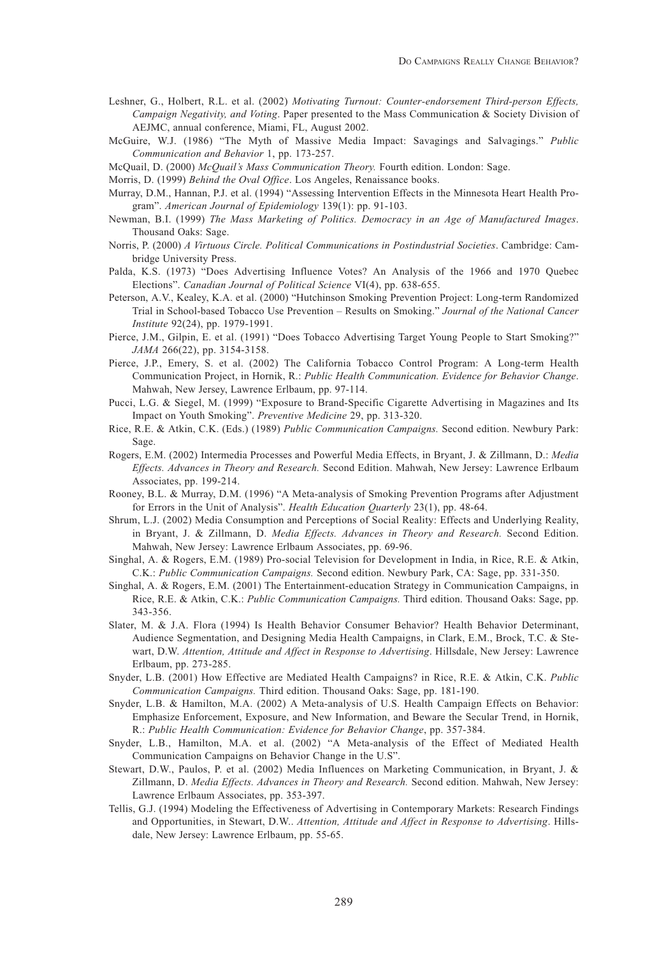- Leshner, G., Holbert, R.L. et al. (2002) *Motivating Turnout: Counter-endorsement Third-person Effects, Campaign Negativity, and Voting*. Paper presented to the Mass Communication & Society Division of AEJMC, annual conference, Miami, FL, August 2002.
- McGuire, W.J. (1986) "The Myth of Massive Media Impact: Savagings and Salvagings." *Public Communication and Behavior* 1, pp. 173-257.
- McQuail, D. (2000) *McQuail's Mass Communication Theory.* Fourth edition. London: Sage.
- Morris, D. (1999) *Behind the Oval Office*. Los Angeles, Renaissance books.
- Murray, D.M., Hannan, P.J. et al. (1994) "Assessing Intervention Effects in the Minnesota Heart Health Program". *American Journal of Epidemiology* 139(1): pp. 91-103.
- Newman, B.I. (1999) *The Mass Marketing of Politics. Democracy in an Age of Manufactured Images*. Thousand Oaks: Sage.
- Norris, P. (2000) *A Virtuous Circle. Political Communications in Postindustrial Societies*. Cambridge: Cambridge University Press.
- Palda, K.S. (1973) "Does Advertising Influence Votes? An Analysis of the 1966 and 1970 Quebec Elections". *Canadian Journal of Political Science* VI(4), pp. 638-655.
- Peterson, A.V., Kealey, K.A. et al. (2000) "Hutchinson Smoking Prevention Project: Long-term Randomized Trial in School-based Tobacco Use Prevention – Results on Smoking." *Journal of the National Cancer Institute* 92(24), pp. 1979-1991.
- Pierce, J.M., Gilpin, E. et al. (1991) "Does Tobacco Advertising Target Young People to Start Smoking?" *JAMA* 266(22), pp. 3154-3158.
- Pierce, J.P., Emery, S. et al. (2002) The California Tobacco Control Program: A Long-term Health Communication Project, in Hornik, R.: *Public Health Communication. Evidence for Behavior Change*. Mahwah, New Jersey, Lawrence Erlbaum, pp. 97-114.
- Pucci, L.G. & Siegel, M. (1999) "Exposure to Brand-Specific Cigarette Advertising in Magazines and Its Impact on Youth Smoking". *Preventive Medicine* 29, pp. 313-320.
- Rice, R.E. & Atkin, C.K. (Eds.) (1989) *Public Communication Campaigns.* Second edition. Newbury Park: Sage.
- Rogers, E.M. (2002) Intermedia Processes and Powerful Media Effects, in Bryant, J. & Zillmann, D.: *Media Effects. Advances in Theory and Research.* Second Edition. Mahwah, New Jersey: Lawrence Erlbaum Associates, pp. 199-214.
- Rooney, B.L. & Murray, D.M. (1996) "A Meta-analysis of Smoking Prevention Programs after Adjustment for Errors in the Unit of Analysis". *Health Education Quarterly* 23(1), pp. 48-64.
- Shrum, L.J. (2002) Media Consumption and Perceptions of Social Reality: Effects and Underlying Reality, in Bryant, J. & Zillmann, D. *Media Effects. Advances in Theory and Research.* Second Edition. Mahwah, New Jersey: Lawrence Erlbaum Associates, pp. 69-96.
- Singhal, A. & Rogers, E.M. (1989) Pro-social Television for Development in India, in Rice, R.E. & Atkin, C.K.: *Public Communication Campaigns.* Second edition. Newbury Park, CA: Sage, pp. 331-350.
- Singhal, A. & Rogers, E.M. (2001) The Entertainment-education Strategy in Communication Campaigns, in Rice, R.E. & Atkin, C.K.: *Public Communication Campaigns.* Third edition. Thousand Oaks: Sage, pp. 343-356.
- Slater, M. & J.A. Flora (1994) Is Health Behavior Consumer Behavior? Health Behavior Determinant, Audience Segmentation, and Designing Media Health Campaigns, in Clark, E.M., Brock, T.C. & Stewart, D.W. *Attention, Attitude and Affect in Response to Advertising*. Hillsdale, New Jersey: Lawrence Erlbaum, pp. 273-285.
- Snyder, L.B. (2001) How Effective are Mediated Health Campaigns? in Rice, R.E. & Atkin, C.K. *Public Communication Campaigns.* Third edition. Thousand Oaks: Sage, pp. 181-190.
- Snyder, L.B. & Hamilton, M.A. (2002) A Meta-analysis of U.S. Health Campaign Effects on Behavior: Emphasize Enforcement, Exposure, and New Information, and Beware the Secular Trend, in Hornik, R.: *Public Health Communication: Evidence for Behavior Change*, pp. 357-384.
- Snyder, L.B., Hamilton, M.A. et al. (2002) "A Meta-analysis of the Effect of Mediated Health Communication Campaigns on Behavior Change in the U.S".
- Stewart, D.W., Paulos, P. et al. (2002) Media Influences on Marketing Communication, in Bryant, J. & Zillmann, D. *Media Effects. Advances in Theory and Research.* Second edition. Mahwah, New Jersey: Lawrence Erlbaum Associates, pp. 353-397.
- Tellis, G.J. (1994) Modeling the Effectiveness of Advertising in Contemporary Markets: Research Findings and Opportunities, in Stewart, D.W.. *Attention, Attitude and Affect in Response to Advertising*. Hillsdale, New Jersey: Lawrence Erlbaum, pp. 55-65.